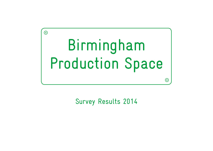

Survey Results 2014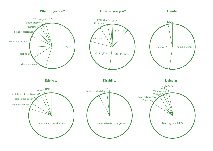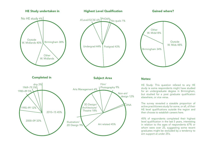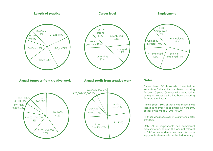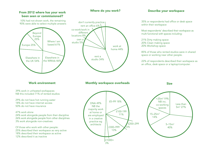### From 2012 where has your work been seen or commissioned?

10% had not shown work, the remaining 90% were able to select multiple answers

# Where I am based 61% Elsewhere in the WMids 46% Elsewhere in the UK 54% Europe 25% Beyond Europe 25%



# Where do you work? Describe your workspace

within their workspace

Most respondents' described their workspace as multi functional with spaces including:

21% Dirty making space 20% Clean making space 20% Workshop space

85% of those who rented studios were in shared space or working near other people.

22% of respondents described their workspace as an office, desk space or a laptop/computer.

Work environment

39% work in unheated workspaces NB this included 71% of rented studios

29% do not have hot running water 18% do not have internet access 50% do not have insurance

### 47% work alone

24% work alongside people from their discipline 26% work alongside people from other disciplines 3% work alongside non-creatives

Of those who work with other people: 25% described their workspace as very active 18% described their workspace as active 12% described it as inactive

# Monthly workspace overheads

Size

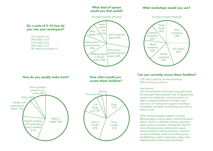### What kind of spaces would you find useful?

### What workshops would you use?





11% didn't need to access workshops. 55% said they could not.

### Key barriers:

Cost of equipment and outsourcing particularly during experimental phases; lack of signposting, access and availability; current provision not able to support production of larger scale work; lack of training and support to develop knowledge and skills; not knowing how, who or where to ask.

Other facilities people suggest including: Meeting space; events space; networking/social space; crèche or childcare facilities; education space; space to present, photograph and test work; rehearsal space; greenscreen space; framing facilities; sewing machines; ceramics; access to software; darkrooms; editing suite; sandblasting; outdoor yard space; large scale digital printers; textile based processes.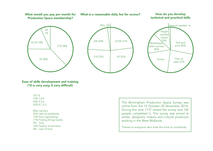### What would you pay per month for Production Space membership?



# technical and practical skills







### Ease of skills development and training (10 is very easy, 0 very difficult)

1% 10 15% 7,8,9 54% 4,5,6 32% 0,1,2,3

Main barriers: 52% Lack of availability 15% Poor signposting 11% Finding things locally 9% Cost 10% Quality of provision 3% Lack of time

The Birmingham Production Space Survey was online from the 19 October–30 November 2014. During this time 1137 visited the survey and 165 people completed it. The survey was aimed at artists, designers, makers and cultural producers working in the West Midlands.

Thanks to everyone who took the time to contribute.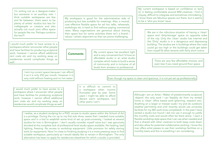I'm writing not as a designer-maker but someone in an auxiliary role. I think suitable workspaces are few and far between; there seem to be plenty of artists' studios but less for craftspeople or creators and also actually not much joint office space for people like me. Perhaps combine the two?!

I would much prefer to have access to a workspace where I encounter other people and have facilities for producing sculptural work, however I cannot afford additional rent costs etc and my working away on residencies would complicate things as well.

My workspace is good for the administrative side of producing but less suitable for meetings. Also, a neutral, cost effective flexible space for ad hoc talks, rehearsals, workshops etc is hard to find without paying commercial rates. Many organisations are generous about sharing their space but for some activities there isn't a brand / values / artistic alignment so that can prove challenging.

### **Comments**

and is very convenient but I'd love an affordable studio in an artist studio complex which looks to build a sense of community and is inclusive of all levels from amateur to professional.

My current space has excellent light

My current workspace is based on confidence or lack of, in feeling comfortable around WM creatives. I find it cliquey, difficult to integrate and sometimes intimidating. I know there are fabulous spaces out there, but it seems to be a 'who you know' issue.

> We are in the ridiculous situation of having a 'clean' space and 'dirty/storage' space on opposite sides of the city. Only the 'clean' studio has internet and the 'Dirty' studio is in a dangerous and depressing building. The studios are in buildings where the costs could go too high or the buildings could get taken from myself & other tenants with fairly short notice.

> > There are very few affordable choices, and even less if you need ground floor space

Even though my space is clean and spacious, it is not yet set up professionally.

I would much prefer to have access to a workspace where I encounter other people and have facilities for producing sculptural work, however I cannot afford additional rent costs etc and my working away on residencies would complicate things as well.

I rent my current space because I can afford it as it is only £50 per month. However it is very cold without heating and no hot water.

> It is difficult to commit to a workspace when income fluctuates year by year. Some years I might be able to afford decent warm workspace, but other years I can't.

I realise, as a student studying for a PHD, access to studio space within the School of Art is a privilege. During the run up to my first solo show, aware that I needed more suitable space and in a bid to establish some kind of set up post-university, I looked at several studios for hire in Birmingham. I don't usually consider myself naive but I was genuinely shocked at the complete lack of professional level studio space available. No heating, bad lighting, freezing. No access to workshop equipment. Little provision for safely storing work (or equipment). Now I'm close to finishing studying it is a more pressing issue to find suitable workspace, particularly as I would ideally like to remain in Birmingham. The only alternative has been to apply for residencies elsewhere for which a studio is provided.

Although I am an Artist / Maker of predominantly sculptural 'objects' the only work I can feasibly do from my rented home is 'clean' office based work (planning, research etc). Anything on a larger or messier scale I try and do outdoors weather permitting and until recently would use university facilities for my MA work (now completed). In the past I have rented a studio but found I did not use it enough to justify the monthly costs and would often be there alone. I want a flexible workshop style space that I can use when needed and that is shared with other creatives to both keep costs down and also allow for potential collaborative working. I know the mac offers artist passes to use their workshop facilities on a monthly basis and this is something I am considering.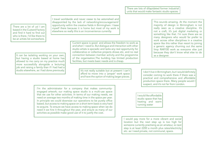There are a lot of us! I am based in the Custard Factory and find it hard to find out who is there. I'd like there to be an artists list somewhere.

I travel worldwide and never cease to be astonished and disappointed by the lack of networking/encouragement/ opportunity within the creative fields in Birmingham. I base myself there because it is home but most of my work is elsewhere so really this is an inconvenience currently.

It can be isolating working on your own, but having a studio based at home has allowed to me carry on my practice much more successfully alongside a lecturing job and raising a family than if I had had a<br>studio elsewhere, as I had done previously. Current space is good and allows the freedom to work as and when I need to. But dialogue and interaction with other studio artists is sporadic and lacks any real opportunity for collaborative or collective projects shows etc, and no real connection between member activity and the programme of the organisation.The building has limited production facilities, but meets basic needs and is cheap.

> It's not really suitable but at present I can't afford to move into a 'proper' work space and have the option of making larger pieces.

I'm the administrator for a company that makes communityengaged artwork; our making space studio is a multi-use space that we use for other activities. In terms of our making needs, we need on average two months of making time in the space per year. In principle we could downsize our operations to be purely office based, but access to making space on a short term basis is very hard to acquire. To ensure we have access to making space when we do need it we hire it throughout the year, and ensure as many of our activities as possible make good use of it to justify the cost.

There are lots of dilapidated former industrial units that would make fantastic studio spaces.

> This sounds amazing. At the moment the majority of design in Birmingham is not really seen as a creative discipline. It's not a craft, it's just digital marketing or something like that. I'm sure there are so many designers who would far prefer to work across other disciplines in a creative space like this rather than resort to joining a generic agency churning out the same limp RAR100 work as everyone else just because they don't know what else to do as a designer.

I don't live in Birmingham, but I would definitely consider coming to work there if there was a practical and comprehensive and affordable production space there. Many people would I suspect, and it's not far from London.

I would like affordable studio space that has heating and warm running water

I would pay more for a more vibrant and social location but the next step up is too high for someone currently practising as an amateur, ie next step is at least £200 a month plus rates/electricity etc. as I need private, not communal, space.